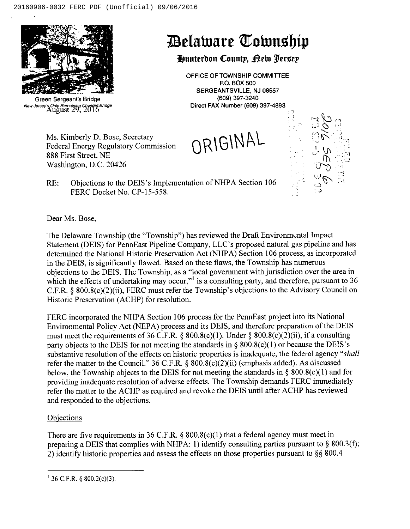Ms. Kimberly D. Bose, Secretary

Federal Energy Regulatory Commission



Green Sergeant'a Bridge New Jersey's Only Remaining Covered Bridge<br>August 29, 2016

# Selalnare (Ilatnnsl)ip

# Hunterdon County, Bew Jersey

OFFICE OF TOWNSHIP COMMITTEE P.O. BOX 500 SERGEANTSVILLE, NJ 08557 (609) 397-3240 Direct FAX Number (609) 397-4893

ORIGINAL



RE: Objections to the DEIS's Implementation of NHPA Section 106 FERC Docket No. CP-15-558.

Dear Ms. Bose,

888 First Street, NE Washington, D.C. 20426

The Delaware Township (the "Township") has reviewed the Draft Environmental Impact Statement (DEIS) for PennEast Pipeline Company, LLC's proposed natural gas pipeline and has determined the National Historic Preservation Act (NHPA) Section 106 process, as incorporated in the DEIS, is significantly flawed. Based on these flaws, the Township has numerous objections to the DEIS. The Township, as a "local government with jurisdiction over the area in which the effects of undertaking may occur,"<sup>1</sup> is a consulting party, and therefore, pursuant to 36 C.F.R. § 800.8(c)(2)(ii), FERC must refer the Township's objections to the Advisory Council on Historic Preservation (ACHP) for resolution.

FERC incorporated the NHPA Section 106 process for the PennEast project into its National Environmental Policy Act (NEPA) process and its DEIS, and therefore preparation of the DEIS must meet the requirements of 36 C.F.R. § 800.8(c)(1). Under § 800.8(c)(2)(ii), if a consulting party objects to the DEIS for not meeting the standards in  $\S$  800.8(c)(1) or because the DEIS's substantive resolution of the effects on historic properties is inadequate, the federal agency "shall refer the matter to the Council." 36 C.F.R. § 800.8(c)(2)(ii) (emphasis added). As discussed below, the Township objects to the DEIS for not meeting the standards in  $\S$  800.8(c)(1) and for providing inadequate resolution of adverse effects. The Township demands FERC immediately refer the matter to the ACHP as required and revoke the DEIS until after ACHP has reviewed and responded to the objections.

### **Objections**

There are five requirements in 36 C.F.R.  $\S$  800.8(c)(1) that a federal agency must meet in preparing a DEIS that complies with NHPA: 1) identify consulting parties pursuant to  $\S$  800.3(f); 2) identify historic properties and assess the effects on those properties pursuant to  $\S$ § 800.4

 $^{1}$  36 C.F.R. § 800.2(c)(3).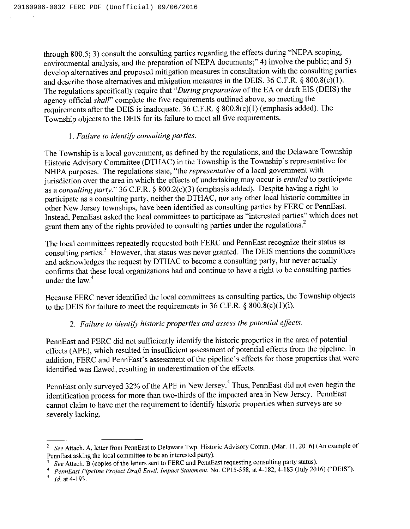through 800.5; 3) consult the consulting parties regarding the effects during "NEPA scoping, environmental analysis, and the preparation of NEPA documents;" 4) involve the public; and 5) develop alternatives and proposed mitigation measures in consultation with the consulting parties and describe those alternatives and mitigation measures in the DEIS. 36 C.F.R.  $\S$  800.8(c)(1). The regulations specifically require that "During preparation of the EA or draft EIS (DEIS) the agency official shall" complete the five requirements outlined above, so meeting the requirements after the DEIS is inadequate. 36 C.F.R.  $\S$  800.8(c)(1) (emphasis added). The Township objects to the DEIS for its failure to meet all five requirements.

#### 1.Failure to identify consulting parties.

The Township is a local government, as defined by the regulations, and the Delaware Township Historic Advisory Committee (DTHAC) in the Township is the Township's representative for NHPA purposes. The regulations state, "the representative of a local government with jurisdiction over the area in which the effects of undertaking may occur is *entitled* to participate as a consulting party." 36 C.F.R. § 800.2(c)(3) (emphasis added). Despite having a right to participate as a consulting party, neither the DTHAC, nor any other local historic committee in other New Jersey townships, have been identified as consulting parties by FERC or PennEast. Instead, PennEast asked the local committees to participate as "interested parties'\* which does not grant them any of the rights provided to consulting parties under the regulations.<sup>2</sup>

The local committees repeatedly requested both FERC and PennEast recognize their status as consulting parties.<sup>3</sup> However, that status was never granted. The DEIS mentions the committees and acknowledges the request by DTHAC to become a consulting party, but never actually confirms that these local organizations had and continue to have a right to be consulting parties under the law.

Because FERC never identified the local committees as consulting parties, the Township objects to the DEIS for failure to meet the requirements in 36 C.F.R.  $\S$  800.8(c)(1)(i).

### 2. Failure to identify historic properties and assess the potential effects.

PennEast and FERC did not sufficiently identify the historic properties in the area of potential effects (APE), which resulted in insufficient assessment of potential effects from the pipeline. In addition, FERC and PennEast's assessment of the pipeline's effects for those properties that were identified was flawed, resulting in underestimation of the effects.

PennEast only surveyed 32% of the APE in New Jersey.<sup>5</sup> Thus, PennEast did not even begin the identification process for more than two-thirds of the impacted area in New Jersey. PennEast cannot claim to have met the requirement to identify historic properties when surveys are so severely lacking.

<sup>&</sup>lt;sup>2</sup> See Attach. A, letter from PennEast to Delaware Twp. Historic Advisory Comm. (Mar. 11, 2016) (An example of PennEast asking the local committee to be an interested party).

See Attach. B (copies of the letters sent to FERC and PennEast requesting consulting party status).

PennEast Pipeline Project Draft Envtl. Impact Statement, No. CP15-558, at 4-182, 4-183 (July 2016) ("DEIS").

 $1d.$  at 4-193.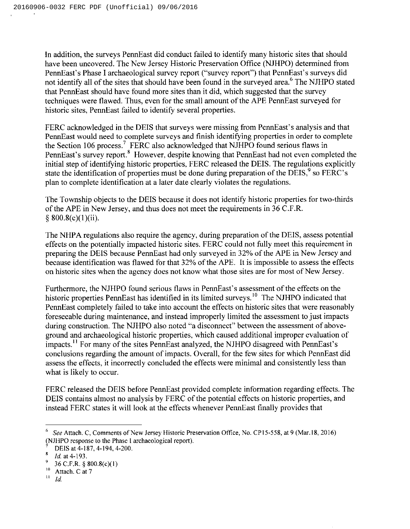In addition, the surveys PennEast did conduct failed to identify many historic sites that should have been uncovered. The New Jersey Historic Preservation Office (NJHPO) determined from PennEast's Phase I archaeological survey report (\*'survey report") that PennEast's surveys did not identify all of the sites that should have been found in the surveyed area.<sup>6</sup> The NJHPO stated that PennEast should have found more sites than it did, which suggested that the survey techniques were flawed. Thus, even for the small amount ofthe APE PennEast surveyed for historic sites, PennEast failed to identify several properties.

FERC acknowledged in the DEIS that surveys were missing from PennEast's analysis and that PennEast would need to complete surveys and finish identifying properties in order to complete the Section 106 process.<sup>7</sup> FERC also acknowledged that NJHPO found serious flaws in PennEast's survey report.<sup>8</sup> However, despite knowing that PennEast had not even completed the initial step of identifying historic properties, FERC released the DEIS. The regulations explicitly state the identification of properties must be done during preparation of the DEIS,  $\degree$  so FERC's plan to complete identification at a later date clearly violates the regulations.

The Township objects to the DEIS because it does not identify historic properties for two-thirds ofthe APE in New Jersey, and thus does not meet the requirements in 36 C.F.R.  $$800.8(c)(1)(ii).$ 

The NHPA regulations also require the agency, during preparation of the DEIS, assess potential effects on the potentially impacted historic sites. FERC could not fully meet this requirement in preparing the DEIS because PennEast had only surveyed in 32% ofthe APE in New Jersey and because identification was flawed for that 32% of the APE. It is impossible to assess the effects on historic sites when the agency does not know what those sites are for most of New Jersey.

Furthermore, the NJHPO found serious flaws in PennEast's assessment of the effects on the historic properties PennEast has identified in its limited surveys.<sup>10</sup> The NJHPO indicated that PennEast completely failed to take into account the effects on historic sites that were reasonably foreseeable during maintenance, and instead improperly limited the assessment to just impacts during construction. The NJHPO also noted "a disconnect" between the assessment of aboveground and archaeological historic properties, which caused additional improper evaluation of impacts.<sup>11</sup> For many of the sites PennEast analyzed, the NJHPO disagreed with PennEast's conclusions regarding the amount of impacts. Overall, for the few sites for which PennEast did assess the effects, it incorrectly concluded the effects were minimal and consistently less than what is likely to occur.

FERC released the DEIS before PennEast provided complete information regarding effects. The DEIS contains almost no analysis by FERC of the potential effects on historic properties, and instead FERC states it will look at the effects whenever PennEast finally provides that

<sup>&</sup>lt;sup>6</sup> See Attach. C, Comments of New Jersey Historic Preservation Office, No. CP15-558, at 9 (Mar.18, 2016) (NJHPO response to the Phase <sup>1</sup> archaeological report).

DEIS at 4-187, 4-194, 4-200.

Id. at 4-193.

<sup>36</sup> C.F.R.  $\S$  800.8(c)(1)

 $10\,$ Attach. C at 7

 $11$  Id.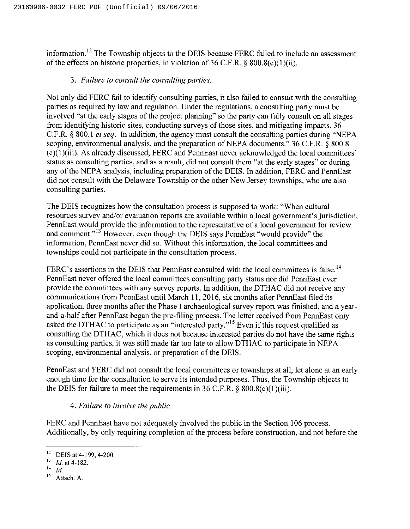information.<sup>12</sup> The Township objects to the DEIS because FERC failed to include an assessment of the effects on historic properties, in violation of 36 C.F.R.  $\S$  800.8(c)(1)(ii).

### 3. Failure to consult the consulting parties.

Not only did FERC fail to identify consulting parties, it also failed to consult with the consulting parties as required by law and regulation. Under the regulations, a consulting party must be involved "at the early stages of the project planning" so the party can fully consult on all stages from identifying historic sites, conducting surveys of those sites, and mitigating impacts. 36 C.F.R.  $\S$  800.1 *et seq.* In addition, the agency must consult the consulting parties during "NEPA" scoping, environmental analysis, and the preparation of NEPA documents."  $36$  C.F.R.  $\S$  800.8  $(c)(1)(iii)$ . As already discussed, FERC and PennEast never acknowledged the local committees' as consulting parties, and as a result, did not consult them "at the early stages" or durin any of the NEPA analysis, including preparation of the DEIS. In addition, FERC and PennEast did not consult with the Delaware Township or the other New Jersey townships, who are also consulting parties.

The DEIS recognizes how the consultation process is supposed to work: "When cultural resources survey and/or evaluation reports are available within a local government's jurisdiction, PennEast would provide the information to the representative of <sup>a</sup> local government for review and comment." $13^{\circ}$  However, even though the DEIS says PennEast "would provide" the information, PennEast never did so. Without this information, the local committees and townships could not participate in the consultation process.

FERC's assertions in the DEIS that PennEast consulted with the local committees is false.<sup>14</sup> never offered the local committees consulting party status nor did PennEast ever provide the committees with any survey reports. In addition, the DTHAC did not receive any communications from PennEast until March 11,2016, six months after PennEast filed its application, three months after the Phase I archaeological survey report was finished, and a yearand-a-half after PennEast began the pre-filing process. The letter received from PennEast only asked the DTHAC to participate as an "interested party."<sup>15</sup> Even if this request qualified as consulting the DTHAC, which it does not because interested parties do not have the same rights as consulting parties, it was still made far too late to allow DTHAC to participate in NEPA scoping, environmental analysis, or preparation of the DEIS.

PennEast and FERC did not consult the local committees or townships at all, let alone at an early enough time for the consultation to serve its intended purposes. Thus, the Township objects to the DEIS for failure to meet the requirements in 36 C.F.R.  $\S$  800.8(c)(1)(iii).

# 4. Failure to involve the public.

FERC and PennEast have not adequately involved the public in the Section 106 process. Additionally, by only requiring completion of the process before construction, and not before the

<sup>&</sup>lt;sup>12</sup> DEIS at 4-199, 4-200.

 $13$  *Id.* at 4-182.

 $14$  Id.

 $15<sub>15</sub>$ Attach. A.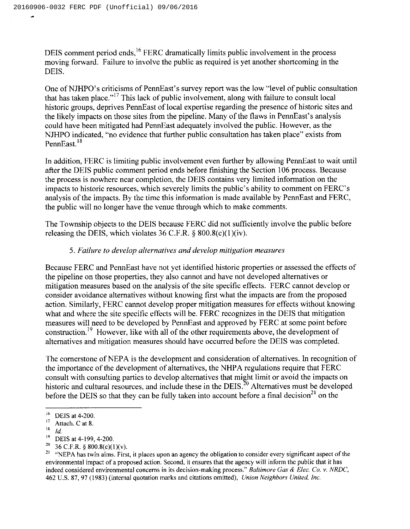DEIS comment period ends,<sup>16</sup> FERC dramatically limits public involvement in the process moving forward. Failure to involve the public as required is yet another shortcoming in the DEIS.

One of NJHPO's criticisms of PennEast's survey report was the low "level of public consultation that has taken place."<sup>17</sup> This lack of public involvement, along with failure to consult local historic groups, deprives PennEast of local expertise regarding the presence of historic sites and the likely impacts on those sites from the pipeline. Many of the flaws in PennEast's analysis could have been mitigated had PennEast adequately involved the public. However, as the NJHPO indicated, "no evidence that further public consultation has taken place" exists from PennEast.<sup>18</sup>

In addition, FERC is limiting public involvement even further by allowing PennEast to wait until after the DEIS public comment period ends before finishing the Section 106 process. Because the process is nowhere near completion, the DEIS contains very limited information on the impacts to historic resources, which severely limits the public's ability to comment on FERC's analysis of the impacts. By the time this information is made available by PennEast and FERC, the public will no longer have the venue through which to make comments.

The Township objects to the DEIS because FERC did not sufficiently involve the public before releasing the DEIS, which violates  $36$  C.F.R.  $\S$   $800.8(c)(1)(iv)$ .

## 5. Failure to develop alternatives and develop mitigation measures

Because FERC and PennEast have not yet identified historic properties or assessed the effects of the pipeline on those properties, they also cannot and have not developed alternatives or mitigation measures based on the analysis of the site specific effects. FERC cannot develop or consider avoidance alternatives without knowing first what the impacts are from the proposed action. Similarly, FERC cannot develop proper mitigation measures for effects without knowing what and where the site specific effects will be. FERC recognizes in the DEIS that mitigation measures will need to be developed by PennEast and approved by FERC at some point before construction.<sup>19</sup> However, like with all of the other requirements above, the development of alternatives and mitigation measures should have occurred before the DEIS was completed.

The cornerstone of NEPA is the development and consideration of alternatives. In recognition of the importance of the development of alternatives, the NHPA regulations require that FERC consult with consulting parties to develop alternatives that might limit or avoid the impacts on historic and cultural resources, and include these in the DEIS.<sup>20</sup> Alternatives must be developed before the DEIS so that they can be fully taken into account before a final decision<sup>21</sup> on the

 $16$ DEIS at 4-200.

 $17\,$ Attach. C at 8.

 $\bf 18$ id.

 $19\,$ DEIS at 4-199, 4-200.

<sup>20</sup> 36 C.F.R. § 800.8(c)(1)(v).

<sup>&</sup>lt;sup>21</sup> "NEPA has twin aims. First, it places upon an agency the obligation to consider every significant aspect of the environmental impact of a proposed action. Second, it ensures that the agency will inform the public that it has indeed considered environmental concerns in its decision-making process." Baltimore Gas & Elec. Co. v. NRDC, 462 U.S. 87, 97 (1983)(internal quotation marks and citations omitted), Union Neighbors United, inc.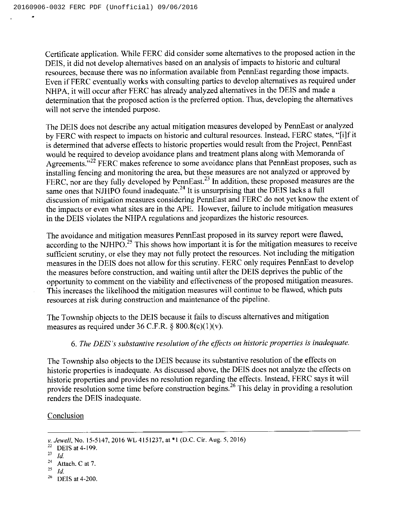Certificate application. While FERC did consider some alternatives to the proposed action in the DEIS, it did not develop alternatives based on an analysis of impacts to historic and cultural resources, because there was no information available from PennEast regarding those impacts. Even if FERC eventually works with consulting parties to develop alternatives as required under NHPA, it will occur after FERC has already analyzed alternatives in the DEIS and made a determination that the proposed action is the preferred option. Thus, developing the alternatives will not serve the intended purpose.

The DEIS does not describe any actual mitigation measures developed by PennEast or analyzed by FERC with respect to impacts on historic and cultural resources. Instead, FERC states, "[i]f it is determined that adverse effects to historic properties would result from the Project, PennEast would be required to develop avoidance plans and treatment plans along with Memoranda of Agreements."<sup>22</sup> FERC makes reference to some avoidance plans that PennEast proposes, such as installing fencing and monitoring the area, but these measures are not analyzed or approved by Installing fencing and monitoring the area, but these measures are not analyzed or approved by<br>FERC, nor are they fully developed by PennEast.<sup>23</sup> In addition, these proposed measures are the same ones that NJHPO found inadequate.<sup>24</sup> It is unsurprising that the DEIS lacks a ful discussion of mitigation measures considering PennEast and FERC do not yet know the extent of the impacts or even what sites are in the APE. However, failure to include mitigation measures in the DEIS violates the NHPA regulations and jeopardizes the historic resources.

The avoidance and mitigation measures PennEast proposed in its survey report were flawed, according to the NJHPO.<sup>25</sup> This shows how important it is for the mitigation measures to receive sufficient scrutiny, or else they may not fully protect the resources. Not including the mitigation measures in the DEIS does not allow for this scrutiny. FERC only requires PennEast to develop the measures before construction, and waiting until after the DEIS deprives the public of the opportunity to comment on the viability and effectiveness of the proposed mitigation measures. This increases the likelihood the mitigation measures will continue to be flawed, which puts resources at risk during construction and maintenance of the pipeline.

The Township objects to the DEIS because it fails to discuss alternatives and mitigation measures as required under 36 C.F.R.  $\S$  800.8(c)(1)(v).

#### 6. The DEIS's substantive resolution of the effects on historic properties is inadequate.

The Township also objects to the DEIS because its substantive resolution of the effects on historic properties is inadequate. As discussed above, the DEIS does not analyze the effects on historic properties and provides no resolution regarding the effects. Instead, FERC says it will provide resolution some time before construction begins.<sup>26</sup> This delay in providing a resolution renders the DEIS inadequate.

#### Conclusion

26 DEIS at 4-200.

v. Jewell, No. 15-5147, 2016 WL 4151237, at \*1 (D.C. Cir. Aug. 5, 2016)

 $^{22}$  DEIS at 4-199.<br> $^{23}$  Id.

<sup>23</sup>

<sup>24</sup> Attach. C at 7.

<sup>25</sup> ld.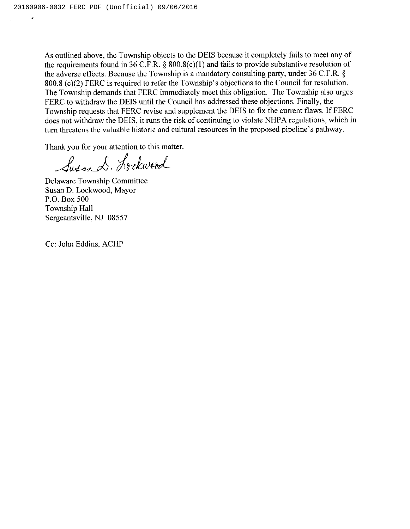As outlined above, the Township objects to the DEIS because it completely fails to meet any of the requirements found in 36 C.F.R.  $\S$  800.8(c)(1) and fails to provide substantive resolution of the adverse effects. Because the Township is a mandatory consulting party, under  $36$  C.F.R.  $\S$ 800.8 (c)(2) FERC is required to refer the Township's objections to the Council for resolution. The Township demands that FERC immediately meet this obligation. The Township also urges FERC to withdraw the DEIS until the Council has addressed these objections. Finally, the Township requests that FERC revise and supplement the DEIS to fix the current flaws. If FERC does not withdraw the DEIS, it runs the risk of continuing to violate NHPA regulations, which in turn threatens the valuable historic and cultural resources in the proposed pipeline's pathway.

Thank you for your attention to this matter.

Susand. Lockwood

Delaware Township Committee Susan D. Lockwood, Mayor P.O. Box 500 Township Hall Sergeantsville, NJ 08557

Cc: John Eddins, ACHP